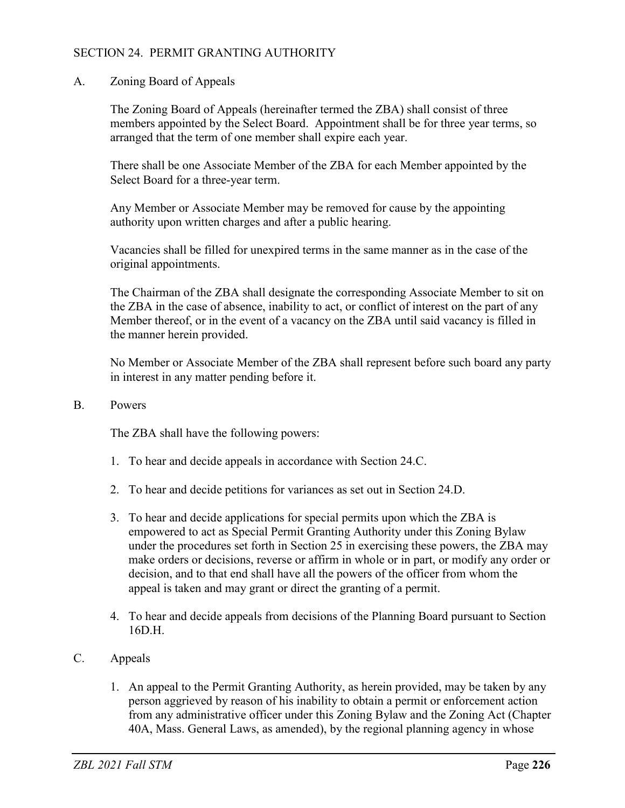## SECTION 24. PERMIT GRANTING AUTHORITY

A. Zoning Board of Appeals

The Zoning Board of Appeals (hereinafter termed the ZBA) shall consist of three members appointed by the Select Board. Appointment shall be for three year terms, so arranged that the term of one member shall expire each year.

There shall be one Associate Member of the ZBA for each Member appointed by the Select Board for a three-year term.

Any Member or Associate Member may be removed for cause by the appointing authority upon written charges and after a public hearing.

Vacancies shall be filled for unexpired terms in the same manner as in the case of the original appointments.

The Chairman of the ZBA shall designate the corresponding Associate Member to sit on the ZBA in the case of absence, inability to act, or conflict of interest on the part of any Member thereof, or in the event of a vacancy on the ZBA until said vacancy is filled in the manner herein provided.

No Member or Associate Member of the ZBA shall represent before such board any party in interest in any matter pending before it.

## B. Powers

The ZBA shall have the following powers:

- 1. To hear and decide appeals in accordance with Section 24.C.
- 2. To hear and decide petitions for variances as set out in Section 24.D.
- 3. To hear and decide applications for special permits upon which the ZBA is empowered to act as Special Permit Granting Authority under this Zoning Bylaw under the procedures set forth in Section 25 in exercising these powers, the ZBA may make orders or decisions, reverse or affirm in whole or in part, or modify any order or decision, and to that end shall have all the powers of the officer from whom the appeal is taken and may grant or direct the granting of a permit.
- 4. To hear and decide appeals from decisions of the Planning Board pursuant to Section 16D.H.

## C. Appeals

1. An appeal to the Permit Granting Authority, as herein provided, may be taken by any person aggrieved by reason of his inability to obtain a permit or enforcement action from any administrative officer under this Zoning Bylaw and the Zoning Act (Chapter 40A, Mass. General Laws, as amended), by the regional planning agency in whose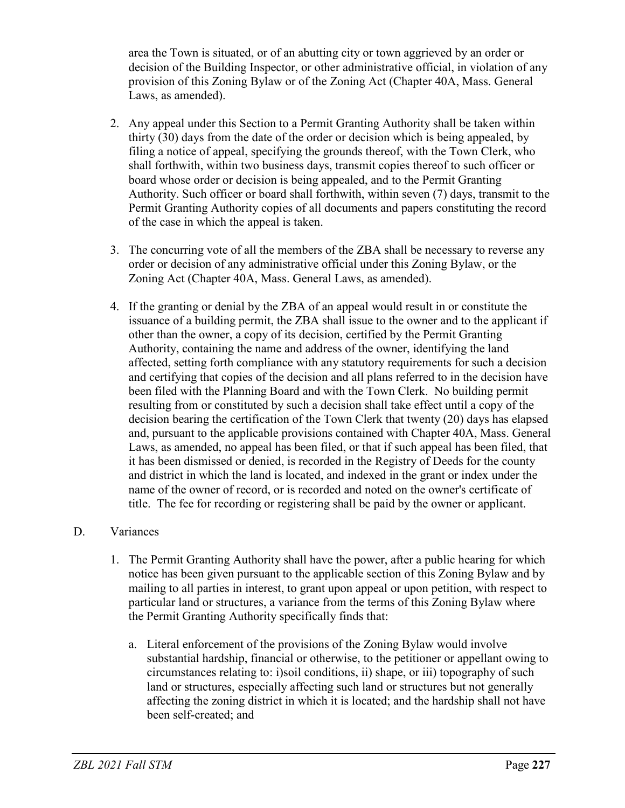area the Town is situated, or of an abutting city or town aggrieved by an order or decision of the Building Inspector, or other administrative official, in violation of any provision of this Zoning Bylaw or of the Zoning Act (Chapter 40A, Mass. General Laws, as amended).

- 2. Any appeal under this Section to a Permit Granting Authority shall be taken within thirty (30) days from the date of the order or decision which is being appealed, by filing a notice of appeal, specifying the grounds thereof, with the Town Clerk, who shall forthwith, within two business days, transmit copies thereof to such officer or board whose order or decision is being appealed, and to the Permit Granting Authority. Such officer or board shall forthwith, within seven (7) days, transmit to the Permit Granting Authority copies of all documents and papers constituting the record of the case in which the appeal is taken.
- 3. The concurring vote of all the members of the ZBA shall be necessary to reverse any order or decision of any administrative official under this Zoning Bylaw, or the Zoning Act (Chapter 40A, Mass. General Laws, as amended).
- 4. If the granting or denial by the ZBA of an appeal would result in or constitute the issuance of a building permit, the ZBA shall issue to the owner and to the applicant if other than the owner, a copy of its decision, certified by the Permit Granting Authority, containing the name and address of the owner, identifying the land affected, setting forth compliance with any statutory requirements for such a decision and certifying that copies of the decision and all plans referred to in the decision have been filed with the Planning Board and with the Town Clerk. No building permit resulting from or constituted by such a decision shall take effect until a copy of the decision bearing the certification of the Town Clerk that twenty (20) days has elapsed and, pursuant to the applicable provisions contained with Chapter 40A, Mass. General Laws, as amended, no appeal has been filed, or that if such appeal has been filed, that it has been dismissed or denied, is recorded in the Registry of Deeds for the county and district in which the land is located, and indexed in the grant or index under the name of the owner of record, or is recorded and noted on the owner's certificate of title. The fee for recording or registering shall be paid by the owner or applicant.

## D. Variances

- 1. The Permit Granting Authority shall have the power, after a public hearing for which notice has been given pursuant to the applicable section of this Zoning Bylaw and by mailing to all parties in interest, to grant upon appeal or upon petition, with respect to particular land or structures, a variance from the terms of this Zoning Bylaw where the Permit Granting Authority specifically finds that:
	- a. Literal enforcement of the provisions of the Zoning Bylaw would involve substantial hardship, financial or otherwise, to the petitioner or appellant owing to circumstances relating to: i)soil conditions, ii) shape, or iii) topography of such land or structures, especially affecting such land or structures but not generally affecting the zoning district in which it is located; and the hardship shall not have been self-created; and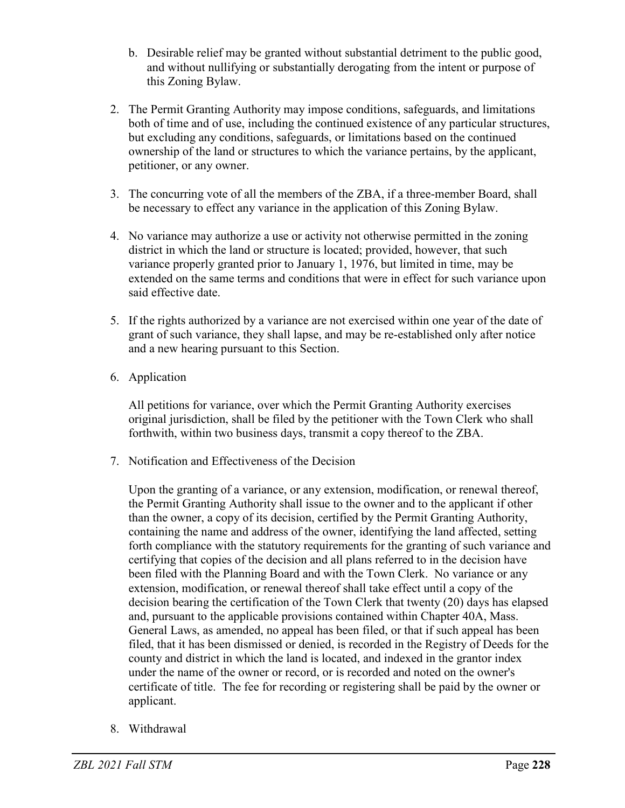- b. Desirable relief may be granted without substantial detriment to the public good, and without nullifying or substantially derogating from the intent or purpose of this Zoning Bylaw.
- 2. The Permit Granting Authority may impose conditions, safeguards, and limitations both of time and of use, including the continued existence of any particular structures, but excluding any conditions, safeguards, or limitations based on the continued ownership of the land or structures to which the variance pertains, by the applicant, petitioner, or any owner.
- 3. The concurring vote of all the members of the ZBA, if a three-member Board, shall be necessary to effect any variance in the application of this Zoning Bylaw.
- 4. No variance may authorize a use or activity not otherwise permitted in the zoning district in which the land or structure is located; provided, however, that such variance properly granted prior to January 1, 1976, but limited in time, may be extended on the same terms and conditions that were in effect for such variance upon said effective date.
- 5. If the rights authorized by a variance are not exercised within one year of the date of grant of such variance, they shall lapse, and may be re-established only after notice and a new hearing pursuant to this Section.
- 6. Application

All petitions for variance, over which the Permit Granting Authority exercises original jurisdiction, shall be filed by the petitioner with the Town Clerk who shall forthwith, within two business days, transmit a copy thereof to the ZBA.

7. Notification and Effectiveness of the Decision

Upon the granting of a variance, or any extension, modification, or renewal thereof, the Permit Granting Authority shall issue to the owner and to the applicant if other than the owner, a copy of its decision, certified by the Permit Granting Authority, containing the name and address of the owner, identifying the land affected, setting forth compliance with the statutory requirements for the granting of such variance and certifying that copies of the decision and all plans referred to in the decision have been filed with the Planning Board and with the Town Clerk. No variance or any extension, modification, or renewal thereof shall take effect until a copy of the decision bearing the certification of the Town Clerk that twenty (20) days has elapsed and, pursuant to the applicable provisions contained within Chapter 40A, Mass. General Laws, as amended, no appeal has been filed, or that if such appeal has been filed, that it has been dismissed or denied, is recorded in the Registry of Deeds for the county and district in which the land is located, and indexed in the grantor index under the name of the owner or record, or is recorded and noted on the owner's certificate of title. The fee for recording or registering shall be paid by the owner or applicant.

8. Withdrawal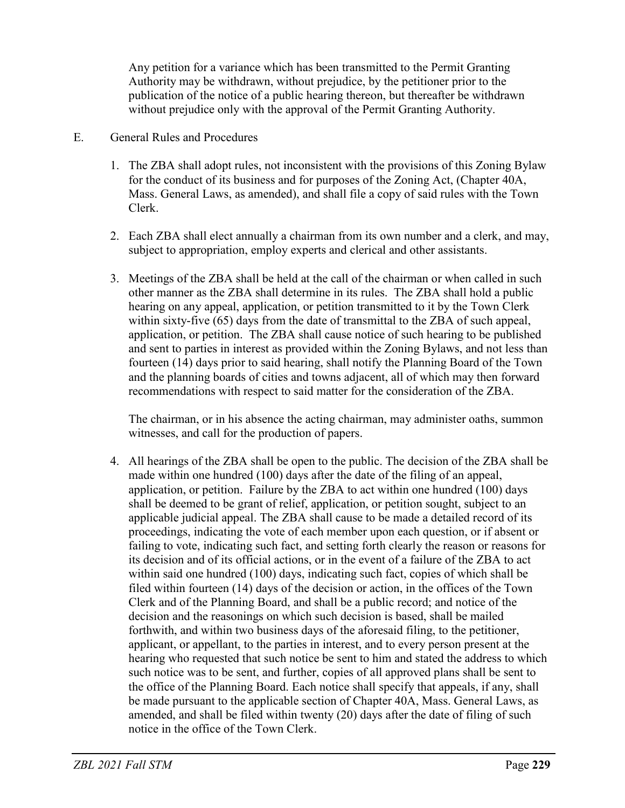Any petition for a variance which has been transmitted to the Permit Granting Authority may be withdrawn, without prejudice, by the petitioner prior to the publication of the notice of a public hearing thereon, but thereafter be withdrawn without prejudice only with the approval of the Permit Granting Authority.

- E. General Rules and Procedures
	- 1. The ZBA shall adopt rules, not inconsistent with the provisions of this Zoning Bylaw for the conduct of its business and for purposes of the Zoning Act, (Chapter 40A, Mass. General Laws, as amended), and shall file a copy of said rules with the Town Clerk.
	- 2. Each ZBA shall elect annually a chairman from its own number and a clerk, and may, subject to appropriation, employ experts and clerical and other assistants.
	- 3. Meetings of the ZBA shall be held at the call of the chairman or when called in such other manner as the ZBA shall determine in its rules. The ZBA shall hold a public hearing on any appeal, application, or petition transmitted to it by the Town Clerk within sixty-five (65) days from the date of transmittal to the ZBA of such appeal, application, or petition. The ZBA shall cause notice of such hearing to be published and sent to parties in interest as provided within the Zoning Bylaws, and not less than fourteen (14) days prior to said hearing, shall notify the Planning Board of the Town and the planning boards of cities and towns adjacent, all of which may then forward recommendations with respect to said matter for the consideration of the ZBA.

The chairman, or in his absence the acting chairman, may administer oaths, summon witnesses, and call for the production of papers.

4. All hearings of the ZBA shall be open to the public. The decision of the ZBA shall be made within one hundred (100) days after the date of the filing of an appeal, application, or petition. Failure by the ZBA to act within one hundred (100) days shall be deemed to be grant of relief, application, or petition sought, subject to an applicable judicial appeal. The ZBA shall cause to be made a detailed record of its proceedings, indicating the vote of each member upon each question, or if absent or failing to vote, indicating such fact, and setting forth clearly the reason or reasons for its decision and of its official actions, or in the event of a failure of the ZBA to act within said one hundred (100) days, indicating such fact, copies of which shall be filed within fourteen (14) days of the decision or action, in the offices of the Town Clerk and of the Planning Board, and shall be a public record; and notice of the decision and the reasonings on which such decision is based, shall be mailed forthwith, and within two business days of the aforesaid filing, to the petitioner, applicant, or appellant, to the parties in interest, and to every person present at the hearing who requested that such notice be sent to him and stated the address to which such notice was to be sent, and further, copies of all approved plans shall be sent to the office of the Planning Board. Each notice shall specify that appeals, if any, shall be made pursuant to the applicable section of Chapter 40A, Mass. General Laws, as amended, and shall be filed within twenty (20) days after the date of filing of such notice in the office of the Town Clerk.